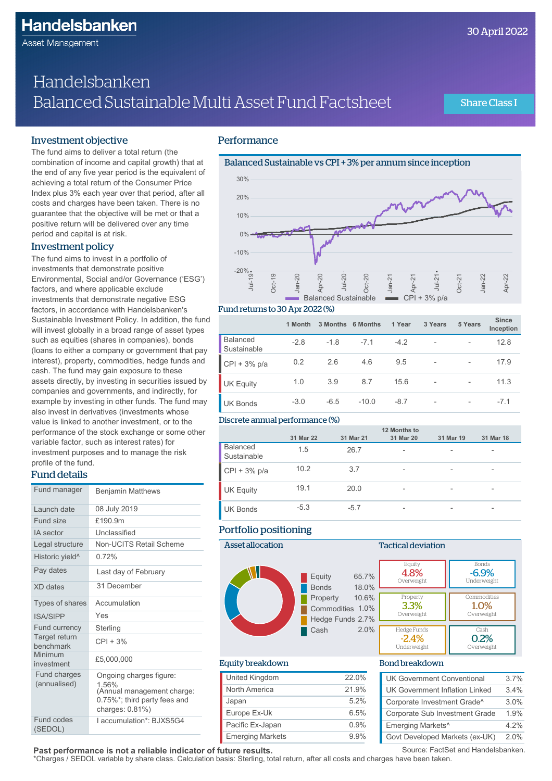Asset Management

# Handelsbanken Balanced Sustainable Multi Asset Fund Factsheet

Share Class I

### Investment objective

The fund aims to deliver a total return (the combination of income and capital growth) that at the end of any five year period is the equivalent of achieving a total return of the Consumer Price Index plus 3% each year over that period, after all costs and charges have been taken. There is no guarantee that the objective will be met or that a positive return will be delivered over any time period and capital is at risk.

### Investment policy

The fund aims to invest in a portfolio of investments that demonstrate positive Environmental, Social and/or Governance ('ESG') factors, and where applicable exclude investments that demonstrate negative ESG factors, in accordance with Handelsbanken's Sustainable Investment Policy. In addition, the fund will invest globally in a broad range of asset types such as equities (shares in companies), bonds (loans to either a company or government that pay interest), property, commodities, hedge funds and cash. The fund may gain exposure to these assets directly, by investing in securities issued by companies and governments, and indirectly, for example by investing in other funds. The fund may also invest in derivatives (investments whose value is linked to another investment, or to the performance of the stock exchange or some other variable factor, such as interest rates) for investment purposes and to manage the risk profile of the fund.

### Fund details

| Fund manager                 | <b>Benjamin Matthews</b>                                                                                              |
|------------------------------|-----------------------------------------------------------------------------------------------------------------------|
| Launch date                  | 08 July 2019                                                                                                          |
| Fund size                    | £190.9m                                                                                                               |
| <b>IA</b> sector             | Unclassified                                                                                                          |
| Legal structure              | Non-UCITS Retail Scheme                                                                                               |
| Historic yield <sup>^</sup>  | 0.72%                                                                                                                 |
| Pay dates                    | Last day of February                                                                                                  |
| XD dates                     | 31 December                                                                                                           |
| Types of shares              | Accumulation                                                                                                          |
| <b>ISA/SIPP</b>              | Yes                                                                                                                   |
| Fund currency                | Sterling                                                                                                              |
| Target return<br>benchmark   | $CPI + 3%$                                                                                                            |
| Minimum<br>investment        | £5.000.000                                                                                                            |
| Fund charges<br>(annualised) | Ongoing charges figure:<br>1.56%<br>(Annual management charge:<br>0.75%*; third party fees and<br>charges: $0.81\%$ ) |
| Fund codes<br>(SEDOL)        | I accumulation*: BJXS5G4                                                                                              |

### **Performance**



#### Fund returns to 30 Apr 2022 (%)

|                                | 1 Month | 3 Months | <b>6 Months</b> | 1 Year | 3 Years                  | 5 Years                  | <b>Since</b><br>Inception |
|--------------------------------|---------|----------|-----------------|--------|--------------------------|--------------------------|---------------------------|
| <b>Balanced</b><br>Sustainable | $-2.8$  | $-1.8$   | $-7.1$          | $-4.2$ | $\overline{\phantom{a}}$ | $\overline{\phantom{a}}$ | 12.8                      |
| $CPI + 3% p/a$                 | 0.2     | 2.6      | 4.6             | 9.5    | $\overline{\phantom{a}}$ | $\overline{\phantom{a}}$ | 17.9                      |
| <b>UK Equity</b>               | 1.0     | 3.9      | 8.7             | 15.6   | $\overline{\phantom{a}}$ | $\qquad \qquad$          | 11.3                      |
| <b>UK Bonds</b>                | $-3.0$  | $-6.5$   | $-10.0$         | $-8.7$ | $\overline{\phantom{a}}$ | $\qquad \qquad$          | $-7.1$                    |

#### Discrete annual performance (%)

|                                |           |           | 12 Months to             |                          |                          |
|--------------------------------|-----------|-----------|--------------------------|--------------------------|--------------------------|
|                                | 31 Mar 22 | 31 Mar 21 | 31 Mar 20                | 31 Mar 19                | 31 Mar 18                |
| <b>Balanced</b><br>Sustainable | 1.5       | 26.7      | $\overline{\phantom{a}}$ | $\overline{\phantom{a}}$ | $\overline{\phantom{0}}$ |
| $CPI + 3% p/a$                 | 10.2      | 3.7       | $\overline{\phantom{a}}$ | $\overline{\phantom{a}}$ | $\overline{\phantom{0}}$ |
| <b>UK Equity</b>               | 19.1      | 20.0      | $\overline{\phantom{a}}$ | $\qquad \qquad$          | $\overline{\phantom{0}}$ |
| <b>UK Bonds</b>                | $-5.3$    | $-5.7$    | $\overline{\phantom{a}}$ | $\overline{\phantom{a}}$ | $\overline{\phantom{0}}$ |

#### Portfolio positioning



#### Tactical deviation Commodities 1.0% Overweight **Property** 3.3% Overweight Bonds -6.9% Underweight **Equity** 4.8% Overweight Hedge Funds -2.4% Underweight Cash 0.2% Overweight

#### Equity breakdown

| United Kingdom          | 22.0%   |
|-------------------------|---------|
| North America           | 21.9%   |
| Japan                   | 5.2%    |
| Europe Ex-Uk            | 6.5%    |
| Pacific Ex-Japan        | 0.9%    |
| <b>Emerging Markets</b> | $9.9\%$ |

#### Bond breakdown

| <b>UK Government Conventional</b>     | 3.7%    |
|---------------------------------------|---------|
| <b>UK Government Inflation Linked</b> | 34%     |
| Corporate Investment Grade^           | 3.0%    |
| Corporate Sub Investment Grade        | 1.9%    |
| Emerging Markets^                     | $4.2\%$ |
| Govt Developed Markets (ex-UK)        | 2.0%    |

**Past performance is not a reliable indicator of future results.** \*Charges / SEDOL variable by share class. Calculation basis: Sterling, total return, after all costs and charges have been taken.

Source: FactSet and Handelsbanken.